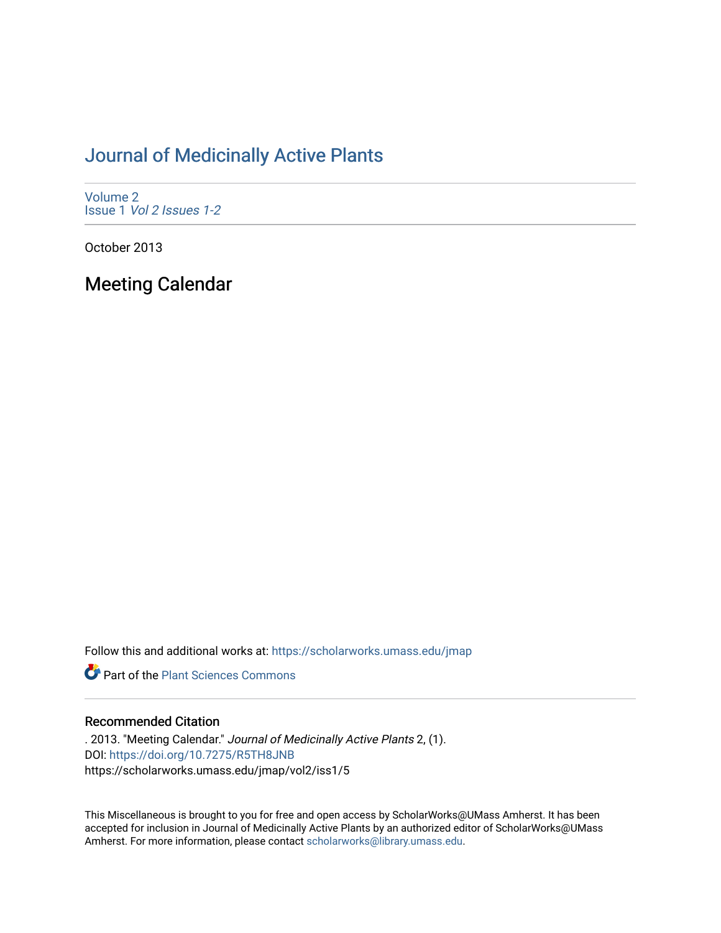# [Journal of Medicinally Active Plants](https://scholarworks.umass.edu/jmap)

[Volume 2](https://scholarworks.umass.edu/jmap/vol2) Issue 1 [Vol 2 Issues 1-2](https://scholarworks.umass.edu/jmap/vol2/iss1)

October 2013

Meeting Calendar

Follow this and additional works at: [https://scholarworks.umass.edu/jmap](https://scholarworks.umass.edu/jmap?utm_source=scholarworks.umass.edu%2Fjmap%2Fvol2%2Fiss1%2F5&utm_medium=PDF&utm_campaign=PDFCoverPages) 

**P** Part of the [Plant Sciences Commons](http://network.bepress.com/hgg/discipline/102?utm_source=scholarworks.umass.edu%2Fjmap%2Fvol2%2Fiss1%2F5&utm_medium=PDF&utm_campaign=PDFCoverPages)

# Recommended Citation

. 2013. "Meeting Calendar." Journal of Medicinally Active Plants 2, (1). DOI:<https://doi.org/10.7275/R5TH8JNB> https://scholarworks.umass.edu/jmap/vol2/iss1/5

This Miscellaneous is brought to you for free and open access by ScholarWorks@UMass Amherst. It has been accepted for inclusion in Journal of Medicinally Active Plants by an authorized editor of ScholarWorks@UMass Amherst. For more information, please contact [scholarworks@library.umass.edu](mailto:scholarworks@library.umass.edu).